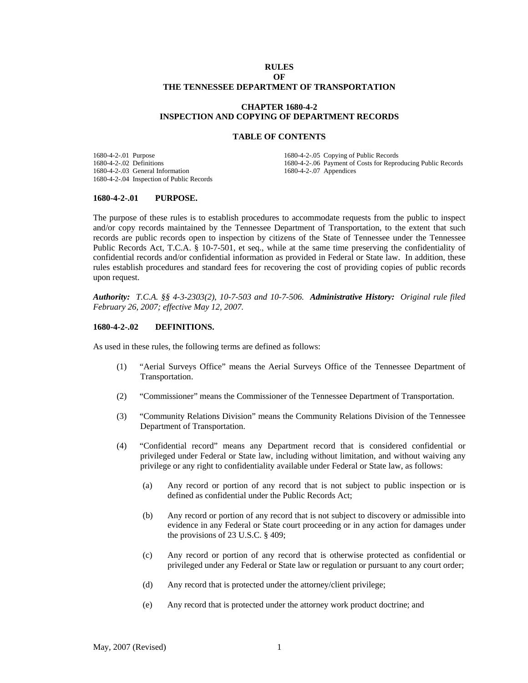# **RULES OF THE TENNESSEE DEPARTMENT OF TRANSPORTATION**

## **CHAPTER 1680-4-2 INSPECTION AND COPYING OF DEPARTMENT RECORDS**

#### **TABLE OF CONTENTS**

1680-4-2-.01 Purpose 1680-4-2-.05 Copying of Public Records 1680-4-2-.03 General Information 1680-4-2-.07 Appendices 1680-4-2-.04 Inspection of Public Records

1680-4-2-.06 Payment of Costs for Reproducing Public Records

### **1680-4-2-.01 PURPOSE.**

The purpose of these rules is to establish procedures to accommodate requests from the public to inspect and/or copy records maintained by the Tennessee Department of Transportation, to the extent that such records are public records open to inspection by citizens of the State of Tennessee under the Tennessee Public Records Act, T.C.A. § 10-7-501, et seq., while at the same time preserving the confidentiality of confidential records and/or confidential information as provided in Federal or State law. In addition, these rules establish procedures and standard fees for recovering the cost of providing copies of public records upon request.

*Authority: T.C.A. §§ 4-3-2303(2), 10-7-503 and 10-7-506. Administrative History: Original rule filed February 26, 2007; effective May 12, 2007.* 

# **1680-4-2-.02 DEFINITIONS.**

As used in these rules, the following terms are defined as follows:

- (1) "Aerial Surveys Office" means the Aerial Surveys Office of the Tennessee Department of Transportation.
- (2) "Commissioner" means the Commissioner of the Tennessee Department of Transportation.
- (3) "Community Relations Division" means the Community Relations Division of the Tennessee Department of Transportation.
- (4) "Confidential record" means any Department record that is considered confidential or privileged under Federal or State law, including without limitation, and without waiving any privilege or any right to confidentiality available under Federal or State law, as follows:
	- (a) Any record or portion of any record that is not subject to public inspection or is defined as confidential under the Public Records Act;
	- (b) Any record or portion of any record that is not subject to discovery or admissible into evidence in any Federal or State court proceeding or in any action for damages under the provisions of 23 U.S.C. § 409;
	- (c) Any record or portion of any record that is otherwise protected as confidential or privileged under any Federal or State law or regulation or pursuant to any court order;
	- (d) Any record that is protected under the attorney/client privilege;
	- (e) Any record that is protected under the attorney work product doctrine; and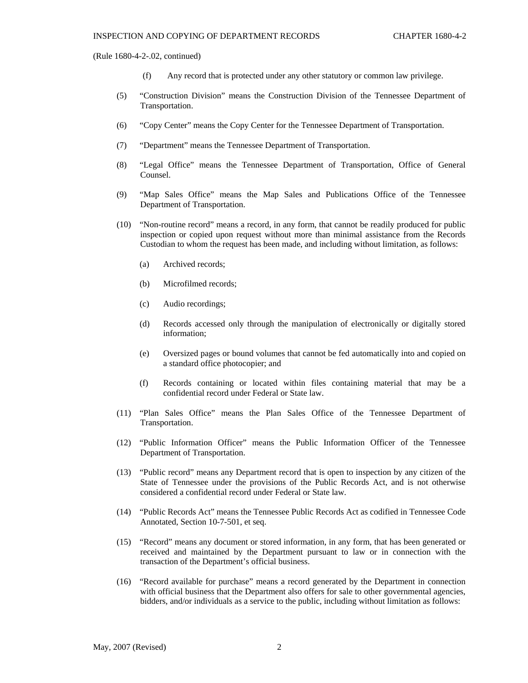- (f) Any record that is protected under any other statutory or common law privilege.
- (5) "Construction Division" means the Construction Division of the Tennessee Department of Transportation.
- (6) "Copy Center" means the Copy Center for the Tennessee Department of Transportation.
- (7) "Department" means the Tennessee Department of Transportation.
- (8) "Legal Office" means the Tennessee Department of Transportation, Office of General Counsel.
- (9) "Map Sales Office" means the Map Sales and Publications Office of the Tennessee Department of Transportation.
- (10) "Non-routine record" means a record, in any form, that cannot be readily produced for public inspection or copied upon request without more than minimal assistance from the Records Custodian to whom the request has been made, and including without limitation, as follows:
	- (a) Archived records;
	- (b) Microfilmed records;
	- (c) Audio recordings;
	- (d) Records accessed only through the manipulation of electronically or digitally stored information;
	- (e) Oversized pages or bound volumes that cannot be fed automatically into and copied on a standard office photocopier; and
	- (f) Records containing or located within files containing material that may be a confidential record under Federal or State law.
- (11) "Plan Sales Office" means the Plan Sales Office of the Tennessee Department of Transportation.
- (12) "Public Information Officer" means the Public Information Officer of the Tennessee Department of Transportation.
- (13) "Public record" means any Department record that is open to inspection by any citizen of the State of Tennessee under the provisions of the Public Records Act, and is not otherwise considered a confidential record under Federal or State law.
- (14) "Public Records Act" means the Tennessee Public Records Act as codified in Tennessee Code Annotated, Section 10-7-501, et seq.
- (15) "Record" means any document or stored information, in any form, that has been generated or received and maintained by the Department pursuant to law or in connection with the transaction of the Department's official business.
- (16) "Record available for purchase" means a record generated by the Department in connection with official business that the Department also offers for sale to other governmental agencies, bidders, and/or individuals as a service to the public, including without limitation as follows: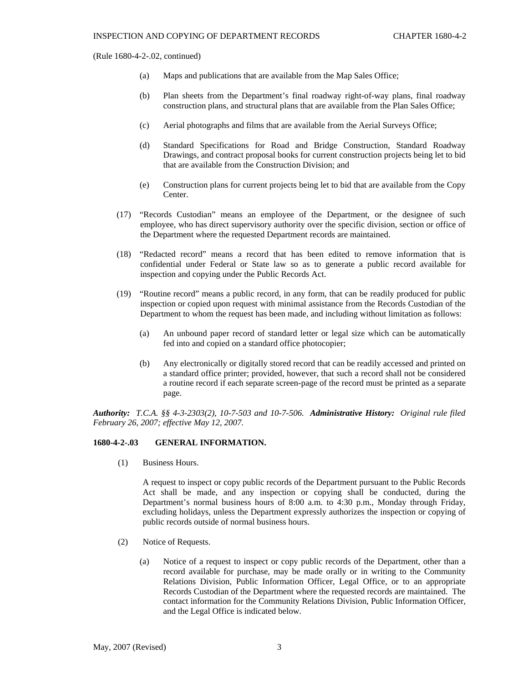- (a) Maps and publications that are available from the Map Sales Office;
- (b) Plan sheets from the Department's final roadway right-of-way plans, final roadway construction plans, and structural plans that are available from the Plan Sales Office;
- (c) Aerial photographs and films that are available from the Aerial Surveys Office;
- (d) Standard Specifications for Road and Bridge Construction, Standard Roadway Drawings, and contract proposal books for current construction projects being let to bid that are available from the Construction Division; and
- (e) Construction plans for current projects being let to bid that are available from the Copy Center.
- (17) "Records Custodian" means an employee of the Department, or the designee of such employee, who has direct supervisory authority over the specific division, section or office of the Department where the requested Department records are maintained.
- (18) "Redacted record" means a record that has been edited to remove information that is confidential under Federal or State law so as to generate a public record available for inspection and copying under the Public Records Act.
- (19) "Routine record" means a public record, in any form, that can be readily produced for public inspection or copied upon request with minimal assistance from the Records Custodian of the Department to whom the request has been made, and including without limitation as follows:
	- (a) An unbound paper record of standard letter or legal size which can be automatically fed into and copied on a standard office photocopier;
	- (b) Any electronically or digitally stored record that can be readily accessed and printed on a standard office printer; provided, however, that such a record shall not be considered a routine record if each separate screen-page of the record must be printed as a separate page.

*Authority: T.C.A. §§ 4-3-2303(2), 10-7-503 and 10-7-506. Administrative History: Original rule filed February 26, 2007; effective May 12, 2007.* 

# **1680-4-2-.03 GENERAL INFORMATION.**

(1) Business Hours.

A request to inspect or copy public records of the Department pursuant to the Public Records Act shall be made, and any inspection or copying shall be conducted, during the Department's normal business hours of 8:00 a.m. to 4:30 p.m., Monday through Friday, excluding holidays, unless the Department expressly authorizes the inspection or copying of public records outside of normal business hours.

- (2) Notice of Requests.
	- (a) Notice of a request to inspect or copy public records of the Department, other than a record available for purchase, may be made orally or in writing to the Community Relations Division, Public Information Officer, Legal Office, or to an appropriate Records Custodian of the Department where the requested records are maintained. The contact information for the Community Relations Division, Public Information Officer, and the Legal Office is indicated below.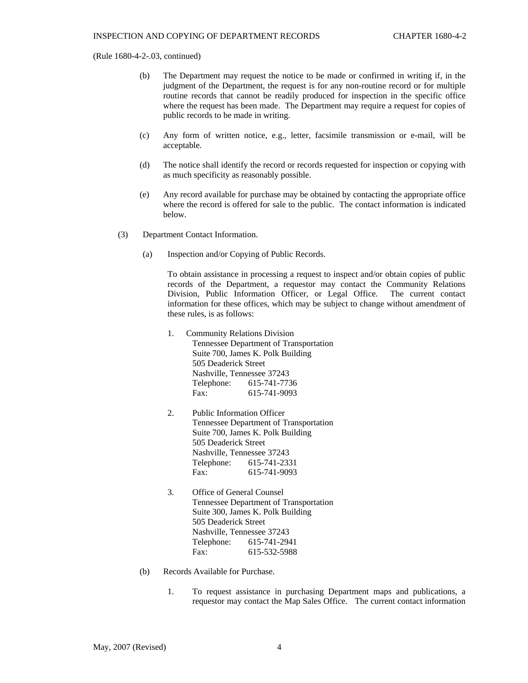- (b) The Department may request the notice to be made or confirmed in writing if, in the judgment of the Department, the request is for any non-routine record or for multiple routine records that cannot be readily produced for inspection in the specific office where the request has been made. The Department may require a request for copies of public records to be made in writing.
- (c) Any form of written notice, e.g., letter, facsimile transmission or e-mail, will be acceptable.
- (d) The notice shall identify the record or records requested for inspection or copying with as much specificity as reasonably possible.
- (e) Any record available for purchase may be obtained by contacting the appropriate office where the record is offered for sale to the public. The contact information is indicated below.
- (3) Department Contact Information.
	- (a) Inspection and/or Copying of Public Records.

To obtain assistance in processing a request to inspect and/or obtain copies of public records of the Department, a requestor may contact the Community Relations Division, Public Information Officer, or Legal Office. The current contact information for these offices, which may be subject to change without amendment of these rules, is as follows:

- 1. Community Relations Division Tennessee Department of Transportation Suite 700, James K. Polk Building 505 Deaderick Street Nashville, Tennessee 37243 Telephone: 615-741-7736 Fax: 615-741-9093
- 2. Public Information Officer Tennessee Department of Transportation Suite 700, James K. Polk Building 505 Deaderick Street Nashville, Tennessee 37243 Telephone: 615-741-2331 Fax: 615-741-9093
- 3. Office of General Counsel Tennessee Department of Transportation Suite 300, James K. Polk Building 505 Deaderick Street Nashville, Tennessee 37243 Telephone: 615-741-2941 Fax: 615-532-5988
- (b) Records Available for Purchase.
	- 1. To request assistance in purchasing Department maps and publications, a requestor may contact the Map Sales Office. The current contact information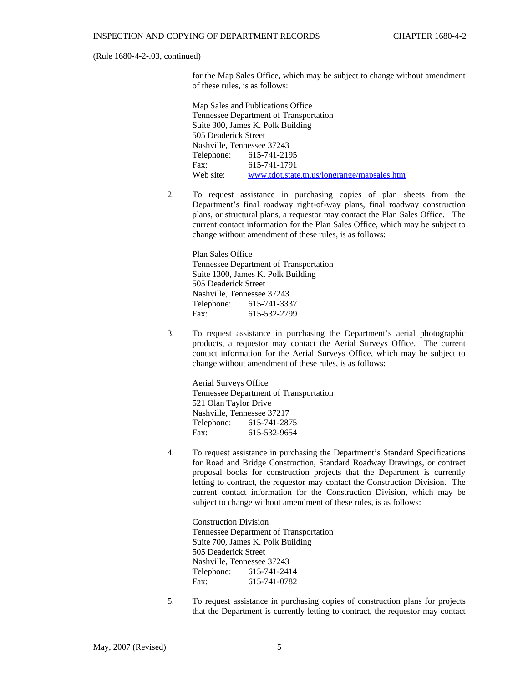for the Map Sales Office, which may be subject to change without amendment of these rules, is as follows:

Map Sales and Publications Office Tennessee Department of Transportation Suite 300, James K. Polk Building 505 Deaderick Street Nashville, Tennessee 37243 Telephone: 615-741-2195 Fax: 615-741-1791 Web site: [www.tdot.state.tn.us/longrange/mapsales.htm](http://www.tdot.state.tn.us/longrange/mapsales.htm) 

2. To request assistance in purchasing copies of plan sheets from the Department's final roadway right-of-way plans, final roadway construction plans, or structural plans, a requestor may contact the Plan Sales Office. The current contact information for the Plan Sales Office, which may be subject to change without amendment of these rules, is as follows:

Plan Sales Office Tennessee Department of Transportation Suite 1300, James K. Polk Building 505 Deaderick Street Nashville, Tennessee 37243 Telephone: 615-741-3337 Fax: 615-532-2799

3. To request assistance in purchasing the Department's aerial photographic products, a requestor may contact the Aerial Surveys Office. The current contact information for the Aerial Surveys Office, which may be subject to change without amendment of these rules, is as follows:

Aerial Surveys Office Tennessee Department of Transportation 521 Olan Taylor Drive Nashville, Tennessee 37217 Telephone: 615-741-2875 Fax: 615-532-9654

4. To request assistance in purchasing the Department's Standard Specifications for Road and Bridge Construction, Standard Roadway Drawings, or contract proposal books for construction projects that the Department is currently letting to contract, the requestor may contact the Construction Division. The current contact information for the Construction Division, which may be subject to change without amendment of these rules, is as follows:

Construction Division Tennessee Department of Transportation Suite 700, James K. Polk Building 505 Deaderick Street Nashville, Tennessee 37243 Telephone: 615-741-2414 Fax: 615-741-0782

5. To request assistance in purchasing copies of construction plans for projects that the Department is currently letting to contract, the requestor may contact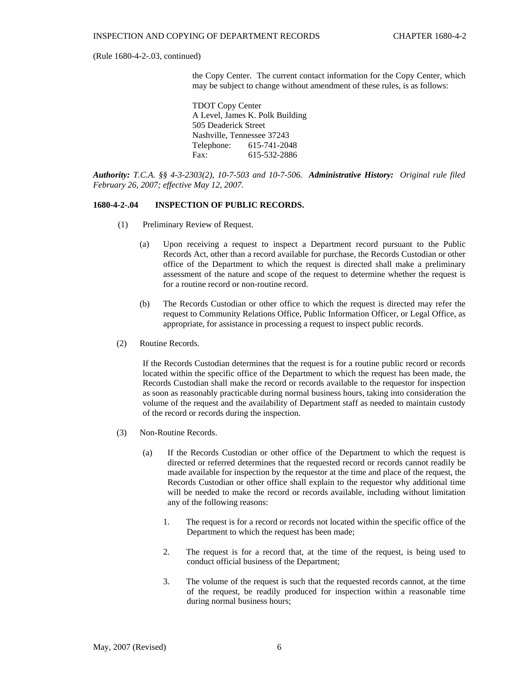the Copy Center. The current contact information for the Copy Center, which may be subject to change without amendment of these rules, is as follows:

TDOT Copy Center A Level, James K. Polk Building 505 Deaderick Street Nashville, Tennessee 37243 Telephone: 615-741-2048 Fax: 615-532-2886

*Authority: T.C.A. §§ 4-3-2303(2), 10-7-503 and 10-7-506. Administrative History: Original rule filed February 26, 2007; effective May 12, 2007.* 

## **1680-4-2-.04 INSPECTION OF PUBLIC RECORDS.**

- (1) Preliminary Review of Request.
	- (a) Upon receiving a request to inspect a Department record pursuant to the Public Records Act, other than a record available for purchase, the Records Custodian or other office of the Department to which the request is directed shall make a preliminary assessment of the nature and scope of the request to determine whether the request is for a routine record or non-routine record.
	- (b) The Records Custodian or other office to which the request is directed may refer the request to Community Relations Office, Public Information Officer, or Legal Office, as appropriate, for assistance in processing a request to inspect public records.
- (2) Routine Records.

If the Records Custodian determines that the request is for a routine public record or records located within the specific office of the Department to which the request has been made, the Records Custodian shall make the record or records available to the requestor for inspection as soon as reasonably practicable during normal business hours, taking into consideration the volume of the request and the availability of Department staff as needed to maintain custody of the record or records during the inspection.

- (3) Non-Routine Records.
	- (a) If the Records Custodian or other office of the Department to which the request is directed or referred determines that the requested record or records cannot readily be made available for inspection by the requestor at the time and place of the request, the Records Custodian or other office shall explain to the requestor why additional time will be needed to make the record or records available, including without limitation any of the following reasons:
		- 1. The request is for a record or records not located within the specific office of the Department to which the request has been made;
		- 2. The request is for a record that, at the time of the request, is being used to conduct official business of the Department;
		- 3. The volume of the request is such that the requested records cannot, at the time of the request, be readily produced for inspection within a reasonable time during normal business hours;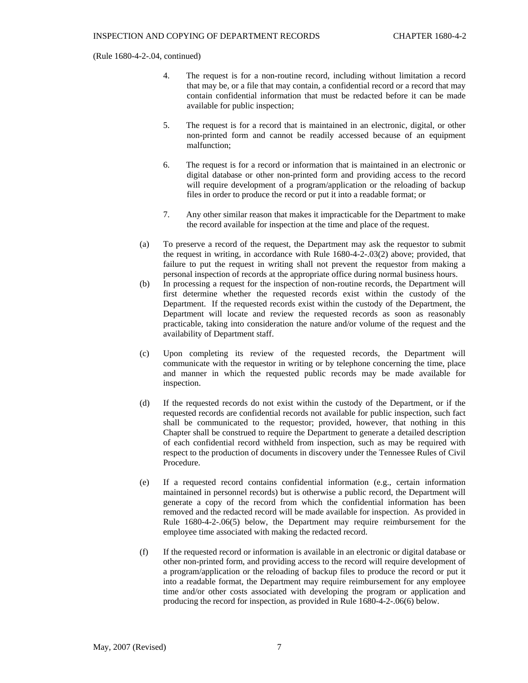- 4. The request is for a non-routine record, including without limitation a record that may be, or a file that may contain, a confidential record or a record that may contain confidential information that must be redacted before it can be made available for public inspection;
- 5. The request is for a record that is maintained in an electronic, digital, or other non-printed form and cannot be readily accessed because of an equipment malfunction;
- 6. The request is for a record or information that is maintained in an electronic or digital database or other non-printed form and providing access to the record will require development of a program/application or the reloading of backup files in order to produce the record or put it into a readable format; or
- 7. Any other similar reason that makes it impracticable for the Department to make the record available for inspection at the time and place of the request.
- (a) To preserve a record of the request, the Department may ask the requestor to submit the request in writing, in accordance with Rule 1680-4-2-.03(2) above; provided, that failure to put the request in writing shall not prevent the requestor from making a personal inspection of records at the appropriate office during normal business hours.
- (b) In processing a request for the inspection of non-routine records, the Department will first determine whether the requested records exist within the custody of the Department. If the requested records exist within the custody of the Department, the Department will locate and review the requested records as soon as reasonably practicable, taking into consideration the nature and/or volume of the request and the availability of Department staff.
- (c) Upon completing its review of the requested records, the Department will communicate with the requestor in writing or by telephone concerning the time, place and manner in which the requested public records may be made available for inspection.
- (d) If the requested records do not exist within the custody of the Department, or if the requested records are confidential records not available for public inspection, such fact shall be communicated to the requestor; provided, however, that nothing in this Chapter shall be construed to require the Department to generate a detailed description of each confidential record withheld from inspection, such as may be required with respect to the production of documents in discovery under the Tennessee Rules of Civil Procedure.
- (e) If a requested record contains confidential information (e.g., certain information maintained in personnel records) but is otherwise a public record, the Department will generate a copy of the record from which the confidential information has been removed and the redacted record will be made available for inspection. As provided in Rule 1680-4-2-.06(5) below, the Department may require reimbursement for the employee time associated with making the redacted record.
- (f) If the requested record or information is available in an electronic or digital database or other non-printed form, and providing access to the record will require development of a program/application or the reloading of backup files to produce the record or put it into a readable format, the Department may require reimbursement for any employee time and/or other costs associated with developing the program or application and producing the record for inspection, as provided in Rule 1680-4-2-.06(6) below.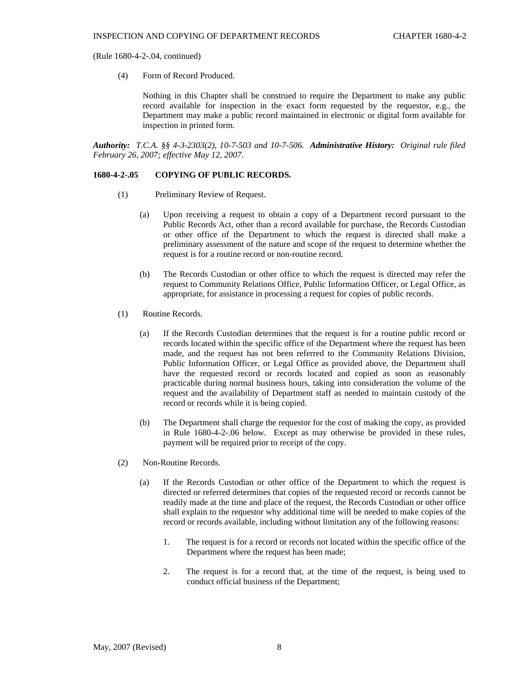(4) Form of Record Produced.

Nothing in this Chapter shall be construed to require the Department to make any public record available for inspection in the exact form requested by the requestor, e.g., the Department may make a public record maintained in electronic or digital form available for inspection in printed form.

*Authority: T.C.A. §§ 4-3-2303(2), 10-7-503 and 10-7-506. Administrative History: Original rule filed February 26, 2007; effective May 12, 2007.* 

#### **1680-4-2-.05 COPYING OF PUBLIC RECORDS.**

- (1) Preliminary Review of Request.
	- (a) Upon receiving a request to obtain a copy of a Department record pursuant to the Public Records Act, other than a record available for purchase, the Records Custodian or other office of the Department to which the request is directed shall make a preliminary assessment of the nature and scope of the request to determine whether the request is for a routine record or non-routine record.
	- (b) The Records Custodian or other office to which the request is directed may refer the request to Community Relations Office, Public Information Officer, or Legal Office, as appropriate, for assistance in processing a request for copies of public records.
- (1) Routine Records.
	- (a) If the Records Custodian determines that the request is for a routine public record or records located within the specific office of the Department where the request has been made, and the request has not been referred to the Community Relations Division, Public Information Officer, or Legal Office as provided above, the Department shall have the requested record or records located and copied as soon as reasonably practicable during normal business hours, taking into consideration the volume of the request and the availability of Department staff as needed to maintain custody of the record or records while it is being copied.
	- (b) The Department shall charge the requestor for the cost of making the copy, as provided in Rule 1680-4-2-.06 below. Except as may otherwise be provided in these rules, payment will be required prior to receipt of the copy.
- (2) Non-Routine Records.
	- (a) If the Records Custodian or other office of the Department to which the request is directed or referred determines that copies of the requested record or records cannot be readily made at the time and place of the request, the Records Custodian or other office shall explain to the requestor why additional time will be needed to make copies of the record or records available, including without limitation any of the following reasons:
		- 1. The request is for a record or records not located within the specific office of the Department where the request has been made;
		- 2. The request is for a record that, at the time of the request, is being used to conduct official business of the Department;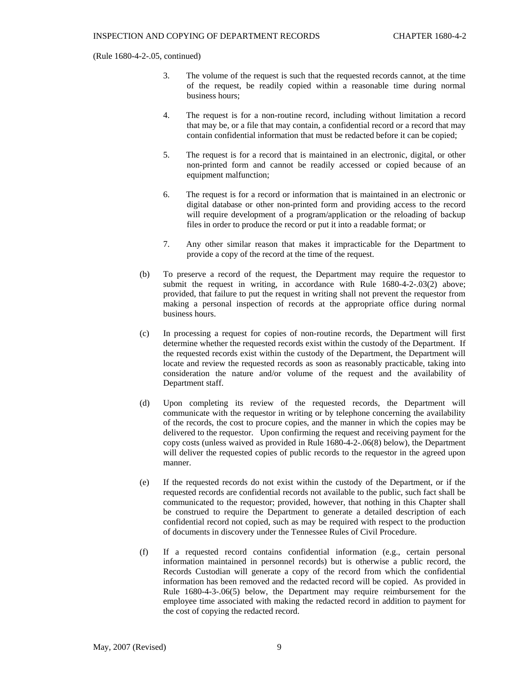- 3. The volume of the request is such that the requested records cannot, at the time of the request, be readily copied within a reasonable time during normal business hours;
- 4. The request is for a non-routine record, including without limitation a record that may be, or a file that may contain, a confidential record or a record that may contain confidential information that must be redacted before it can be copied;
- 5. The request is for a record that is maintained in an electronic, digital, or other non-printed form and cannot be readily accessed or copied because of an equipment malfunction;
- 6. The request is for a record or information that is maintained in an electronic or digital database or other non-printed form and providing access to the record will require development of a program/application or the reloading of backup files in order to produce the record or put it into a readable format; or
- 7. Any other similar reason that makes it impracticable for the Department to provide a copy of the record at the time of the request.
- (b) To preserve a record of the request, the Department may require the requestor to submit the request in writing, in accordance with Rule 1680-4-2-.03(2) above; provided, that failure to put the request in writing shall not prevent the requestor from making a personal inspection of records at the appropriate office during normal business hours.
- (c) In processing a request for copies of non-routine records, the Department will first determine whether the requested records exist within the custody of the Department. If the requested records exist within the custody of the Department, the Department will locate and review the requested records as soon as reasonably practicable, taking into consideration the nature and/or volume of the request and the availability of Department staff.
- (d) Upon completing its review of the requested records, the Department will communicate with the requestor in writing or by telephone concerning the availability of the records, the cost to procure copies, and the manner in which the copies may be delivered to the requestor. Upon confirming the request and receiving payment for the copy costs (unless waived as provided in Rule 1680-4-2-.06(8) below), the Department will deliver the requested copies of public records to the requestor in the agreed upon manner.
- (e) If the requested records do not exist within the custody of the Department, or if the requested records are confidential records not available to the public, such fact shall be communicated to the requestor; provided, however, that nothing in this Chapter shall be construed to require the Department to generate a detailed description of each confidential record not copied, such as may be required with respect to the production of documents in discovery under the Tennessee Rules of Civil Procedure.
- (f) If a requested record contains confidential information (e.g., certain personal information maintained in personnel records) but is otherwise a public record, the Records Custodian will generate a copy of the record from which the confidential information has been removed and the redacted record will be copied. As provided in Rule 1680-4-3-.06(5) below, the Department may require reimbursement for the employee time associated with making the redacted record in addition to payment for the cost of copying the redacted record.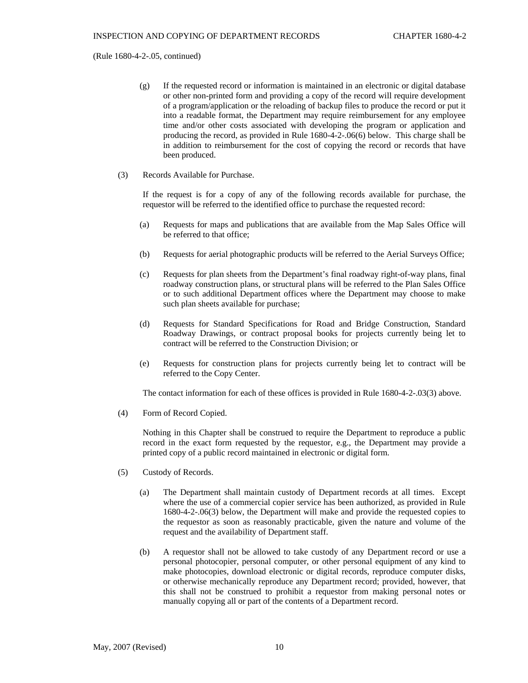- (g) If the requested record or information is maintained in an electronic or digital database or other non-printed form and providing a copy of the record will require development of a program/application or the reloading of backup files to produce the record or put it into a readable format, the Department may require reimbursement for any employee time and/or other costs associated with developing the program or application and producing the record, as provided in Rule 1680-4-2-.06(6) below. This charge shall be in addition to reimbursement for the cost of copying the record or records that have been produced.
- (3) Records Available for Purchase.

If the request is for a copy of any of the following records available for purchase, the requestor will be referred to the identified office to purchase the requested record:

- (a) Requests for maps and publications that are available from the Map Sales Office will be referred to that office;
- (b) Requests for aerial photographic products will be referred to the Aerial Surveys Office;
- (c) Requests for plan sheets from the Department's final roadway right-of-way plans, final roadway construction plans, or structural plans will be referred to the Plan Sales Office or to such additional Department offices where the Department may choose to make such plan sheets available for purchase;
- (d) Requests for Standard Specifications for Road and Bridge Construction, Standard Roadway Drawings, or contract proposal books for projects currently being let to contract will be referred to the Construction Division; or
- (e) Requests for construction plans for projects currently being let to contract will be referred to the Copy Center.

The contact information for each of these offices is provided in Rule 1680-4-2-.03(3) above.

(4) Form of Record Copied.

Nothing in this Chapter shall be construed to require the Department to reproduce a public record in the exact form requested by the requestor, e.g., the Department may provide a printed copy of a public record maintained in electronic or digital form.

- (5) Custody of Records.
	- (a) The Department shall maintain custody of Department records at all times. Except where the use of a commercial copier service has been authorized, as provided in Rule 1680-4-2-.06(3) below, the Department will make and provide the requested copies to the requestor as soon as reasonably practicable, given the nature and volume of the request and the availability of Department staff.
	- (b) A requestor shall not be allowed to take custody of any Department record or use a personal photocopier, personal computer, or other personal equipment of any kind to make photocopies, download electronic or digital records, reproduce computer disks, or otherwise mechanically reproduce any Department record; provided, however, that this shall not be construed to prohibit a requestor from making personal notes or manually copying all or part of the contents of a Department record.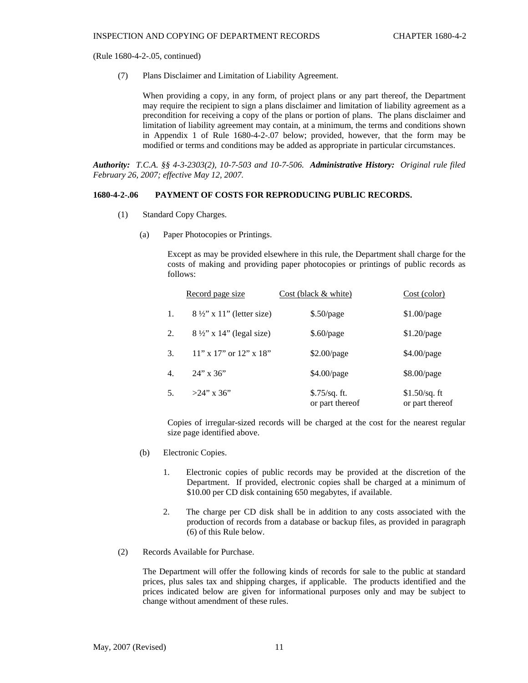(7) Plans Disclaimer and Limitation of Liability Agreement.

When providing a copy, in any form, of project plans or any part thereof, the Department may require the recipient to sign a plans disclaimer and limitation of liability agreement as a precondition for receiving a copy of the plans or portion of plans. The plans disclaimer and limitation of liability agreement may contain, at a minimum, the terms and conditions shown in Appendix 1 of Rule 1680-4-2-.07 below; provided, however, that the form may be modified or terms and conditions may be added as appropriate in particular circumstances.

*Authority: T.C.A. §§ 4-3-2303(2), 10-7-503 and 10-7-506. Administrative History: Original rule filed February 26, 2007; effective May 12, 2007.* 

# **1680-4-2-.06 PAYMENT OF COSTS FOR REPRODUCING PUBLIC RECORDS.**

- (1) Standard Copy Charges.
	- (a) Paper Photocopies or Printings.

Except as may be provided elsewhere in this rule, the Department shall charge for the costs of making and providing paper photocopies or printings of public records as follows:

|    | Record page size                     | Cost (black $&$ white)             | Cost (color)                       |
|----|--------------------------------------|------------------------------------|------------------------------------|
| 1. | $8\frac{1}{2}$ " x 11" (letter size) | $$.50$ /page                       | $$1.00$ /page                      |
| 2. | $8\frac{1}{2}$ " x 14" (legal size)  | $$.60$ /page                       | $$1.20$ /page                      |
| 3. | $11''$ x 17" or $12''$ x 18"         | \$2.00/page                        | \$4.00/page                        |
| 4. | $24''$ x $36''$                      | $$4.00$ /page                      | \$8.00/page                        |
| 5. | $>24$ " x 36"                        | $$.75$ /sq. ft.<br>or part thereof | $$1.50$ /sq. ft<br>or part thereof |

 Copies of irregular-sized records will be charged at the cost for the nearest regular size page identified above.

- (b) Electronic Copies.
	- 1. Electronic copies of public records may be provided at the discretion of the Department. If provided, electronic copies shall be charged at a minimum of \$10.00 per CD disk containing 650 megabytes, if available.
	- 2. The charge per CD disk shall be in addition to any costs associated with the production of records from a database or backup files, as provided in paragraph (6) of this Rule below.
- (2) Records Available for Purchase.

The Department will offer the following kinds of records for sale to the public at standard prices, plus sales tax and shipping charges, if applicable. The products identified and the prices indicated below are given for informational purposes only and may be subject to change without amendment of these rules.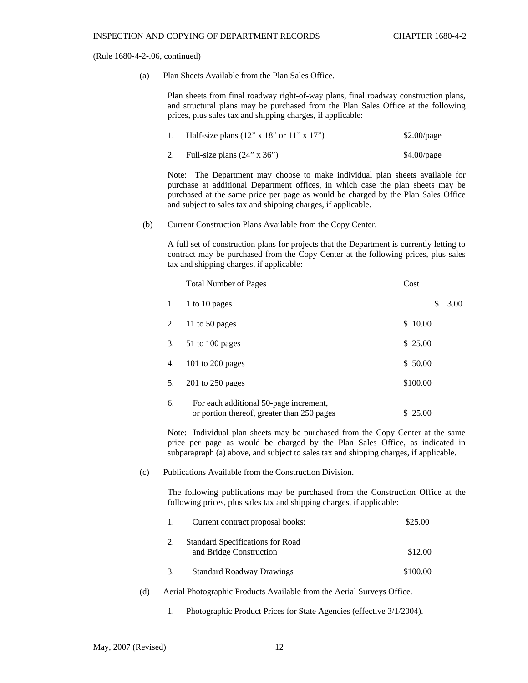(a) Plan Sheets Available from the Plan Sales Office.

Plan sheets from final roadway right-of-way plans, final roadway construction plans, and structural plans may be purchased from the Plan Sales Office at the following prices, plus sales tax and shipping charges, if applicable:

| Half-size plans $(12" \times 18"$ or $11" \times 17"$ | $$2.00$ /page |
|-------------------------------------------------------|---------------|
| Full-size plans $(24" \times 36")$                    | $$4.00$ /page |

Note: The Department may choose to make individual plan sheets available for

purchase at additional Department offices, in which case the plan sheets may be purchased at the same price per page as would be charged by the Plan Sales Office and subject to sales tax and shipping charges, if applicable.

(b) Current Construction Plans Available from the Copy Center.

A full set of construction plans for projects that the Department is currently letting to contract may be purchased from the Copy Center at the following prices, plus sales tax and shipping charges, if applicable:

|    | <b>Total Number of Pages</b>           | Cost       |
|----|----------------------------------------|------------|
| 1. | 1 to 10 pages                          | \$<br>3.00 |
| 2. | 11 to 50 pages                         | \$10.00    |
| 3. | 51 to 100 pages                        | \$25.00    |
| 4. | 101 to 200 pages                       | \$50.00    |
| 5. | $201$ to $250$ pages                   | \$100.00   |
| 6. | For each additional 50-page increment, |            |

| Tor each againment so page merement,       |         |
|--------------------------------------------|---------|
| or portion thereof, greater than 250 pages | \$25.00 |

Note: Individual plan sheets may be purchased from the Copy Center at the same price per page as would be charged by the Plan Sales Office, as indicated in subparagraph (a) above, and subject to sales tax and shipping charges, if applicable.

(c) Publications Available from the Construction Division.

The following publications may be purchased from the Construction Office at the following prices, plus sales tax and shipping charges, if applicable:

| Current contract proposal books: | \$25.00 |  |
|----------------------------------|---------|--|
|                                  |         |  |

| 2. | <b>Standard Specifications for Road</b> |         |
|----|-----------------------------------------|---------|
|    | and Bridge Construction                 | \$12.00 |
|    |                                         |         |

- 3. Standard Roadway Drawings \$100.00
- (d) Aerial Photographic Products Available from the Aerial Surveys Office.
	- 1. Photographic Product Prices for State Agencies (effective 3/1/2004).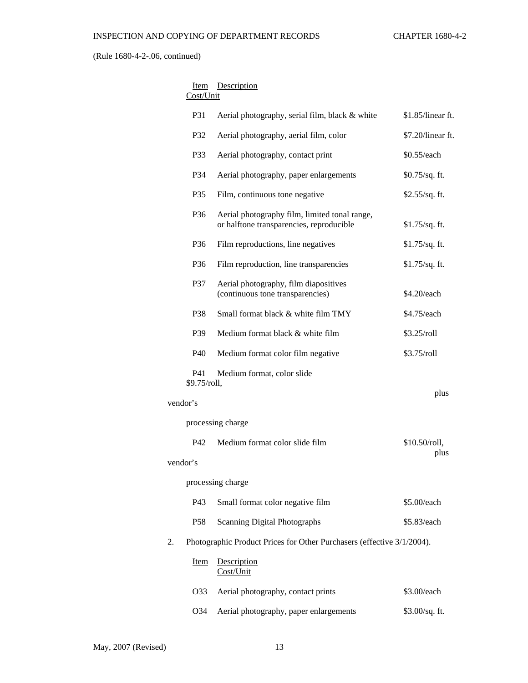### Item Description Cost/Unit

|                   | <b>P31</b>                                                             | Aerial photography, serial film, black & white                                            | \$1.85/linear ft.     |
|-------------------|------------------------------------------------------------------------|-------------------------------------------------------------------------------------------|-----------------------|
|                   | P32                                                                    | Aerial photography, aerial film, color                                                    | \$7.20/linear ft.     |
|                   | P33                                                                    | Aerial photography, contact print                                                         | \$0.55/each           |
|                   | P34                                                                    | Aerial photography, paper enlargements                                                    | $$0.75$ /sq. ft.      |
|                   | P35                                                                    | Film, continuous tone negative                                                            | \$2.55/sq. ft.        |
|                   | P <sub>36</sub>                                                        | Aerial photography film, limited tonal range,<br>or halftone transparencies, reproducible | $$1.75$ /sq. ft.      |
|                   | P36                                                                    | Film reproductions, line negatives                                                        | $$1.75$ /sq. ft.      |
|                   | P <sub>36</sub>                                                        | Film reproduction, line transparencies                                                    | $$1.75$ /sq. ft.      |
|                   | <b>P37</b>                                                             | Aerial photography, film diapositives<br>(continuous tone transparencies)                 | \$4.20/each           |
|                   | P38                                                                    | Small format black & white film TMY                                                       | \$4.75/each           |
|                   | P39                                                                    | Medium format black & white film                                                          | \$3.25/roll           |
|                   | P <sub>40</sub>                                                        | Medium format color film negative                                                         | $$3.75$ /roll         |
|                   | P41<br>\$9.75/roll,                                                    | Medium format, color slide                                                                |                       |
| plus<br>vendor's  |                                                                        |                                                                                           |                       |
| processing charge |                                                                        |                                                                                           |                       |
|                   | P42                                                                    | Medium format color slide film                                                            | \$10.50/roll,<br>plus |
| vendor's          |                                                                        |                                                                                           |                       |
|                   |                                                                        | processing charge                                                                         |                       |
|                   | P43                                                                    | Small format color negative film                                                          | \$5.00/each           |
|                   | P58                                                                    | <b>Scanning Digital Photographs</b>                                                       | \$5.83/each           |
| 2.                | Photographic Product Prices for Other Purchasers (effective 3/1/2004). |                                                                                           |                       |
|                   | <b>Item</b>                                                            | Description<br>Cost/Unit                                                                  |                       |
|                   | 033                                                                    | Aerial photography, contact prints                                                        | \$3.00/each           |
|                   | O34                                                                    | Aerial photography, paper enlargements                                                    | \$3.00/sq. ft.        |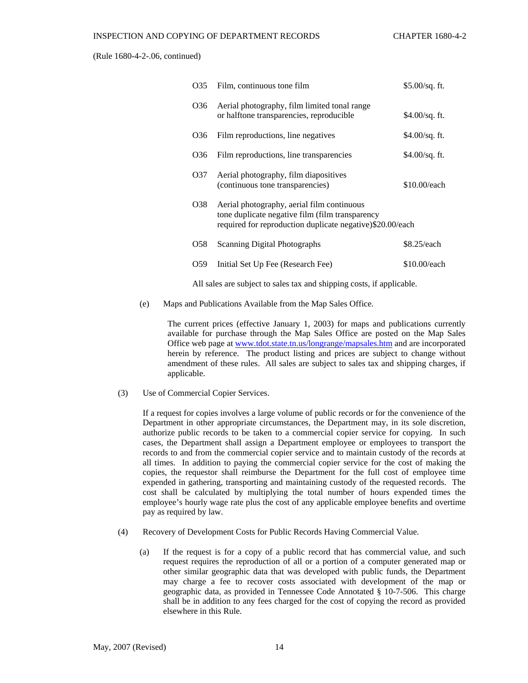| O35             | Film, continuous tone film                                                                                                                                 | $$5.00$ /sq. ft. |
|-----------------|------------------------------------------------------------------------------------------------------------------------------------------------------------|------------------|
| O36             | Aerial photography, film limited tonal range<br>or halftone transparencies, reproducible                                                                   | $$4.00/sq.$ ft.  |
| 036             | Film reproductions, line negatives                                                                                                                         | $$4.00/sq.$ ft.  |
| 036             | Film reproductions, line transparencies                                                                                                                    | $$4.00/sq.$ ft.  |
| O37             | Aerial photography, film diapositives<br>(continuous tone transparencies)                                                                                  | \$10.00/each     |
| O38             | Aerial photography, aerial film continuous<br>tone duplicate negative film (film transparency<br>required for reproduction duplicate negative)\$20.00/each |                  |
| O <sub>58</sub> | Scanning Digital Photographs                                                                                                                               | \$8.25/each      |
| O59             | Initial Set Up Fee (Research Fee)                                                                                                                          | \$10.00/each     |
|                 |                                                                                                                                                            |                  |

All sales are subject to sales tax and shipping costs, if applicable.

(e) Maps and Publications Available from the Map Sales Office.

The current prices (effective January 1, 2003) for maps and publications currently available for purchase through the Map Sales Office are posted on the Map Sales Office web page at [www.tdot.state.tn.us/longrange/mapsales.htm](http://www.tdot.state.tn.us/longrange/mapsales.htm) and are incorporated herein by reference. The product listing and prices are subject to change without amendment of these rules. All sales are subject to sales tax and shipping charges, if applicable.

(3) Use of Commercial Copier Services.

If a request for copies involves a large volume of public records or for the convenience of the Department in other appropriate circumstances, the Department may, in its sole discretion, authorize public records to be taken to a commercial copier service for copying. In such cases, the Department shall assign a Department employee or employees to transport the records to and from the commercial copier service and to maintain custody of the records at all times. In addition to paying the commercial copier service for the cost of making the copies, the requestor shall reimburse the Department for the full cost of employee time expended in gathering, transporting and maintaining custody of the requested records. The cost shall be calculated by multiplying the total number of hours expended times the employee's hourly wage rate plus the cost of any applicable employee benefits and overtime pay as required by law.

- (4) Recovery of Development Costs for Public Records Having Commercial Value.
	- (a) If the request is for a copy of a public record that has commercial value, and such request requires the reproduction of all or a portion of a computer generated map or other similar geographic data that was developed with public funds, the Department may charge a fee to recover costs associated with development of the map or geographic data, as provided in Tennessee Code Annotated § 10-7-506. This charge shall be in addition to any fees charged for the cost of copying the record as provided elsewhere in this Rule.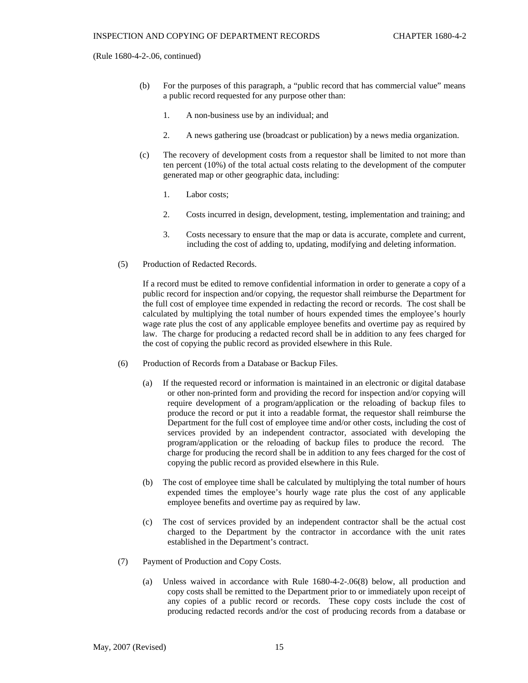- (b) For the purposes of this paragraph, a "public record that has commercial value" means a public record requested for any purpose other than:
	- 1. A non-business use by an individual; and
	- 2. A news gathering use (broadcast or publication) by a news media organization.
- (c) The recovery of development costs from a requestor shall be limited to not more than ten percent (10%) of the total actual costs relating to the development of the computer generated map or other geographic data, including:
	- 1. Labor costs;
	- 2. Costs incurred in design, development, testing, implementation and training; and
	- 3. Costs necessary to ensure that the map or data is accurate, complete and current, including the cost of adding to, updating, modifying and deleting information.
- (5) Production of Redacted Records.

If a record must be edited to remove confidential information in order to generate a copy of a public record for inspection and/or copying, the requestor shall reimburse the Department for the full cost of employee time expended in redacting the record or records. The cost shall be calculated by multiplying the total number of hours expended times the employee's hourly wage rate plus the cost of any applicable employee benefits and overtime pay as required by law. The charge for producing a redacted record shall be in addition to any fees charged for the cost of copying the public record as provided elsewhere in this Rule.

- (6) Production of Records from a Database or Backup Files.
	- (a) If the requested record or information is maintained in an electronic or digital database or other non-printed form and providing the record for inspection and/or copying will require development of a program/application or the reloading of backup files to produce the record or put it into a readable format, the requestor shall reimburse the Department for the full cost of employee time and/or other costs, including the cost of services provided by an independent contractor, associated with developing the program/application or the reloading of backup files to produce the record. The charge for producing the record shall be in addition to any fees charged for the cost of copying the public record as provided elsewhere in this Rule.
	- (b) The cost of employee time shall be calculated by multiplying the total number of hours expended times the employee's hourly wage rate plus the cost of any applicable employee benefits and overtime pay as required by law.
	- (c) The cost of services provided by an independent contractor shall be the actual cost charged to the Department by the contractor in accordance with the unit rates established in the Department's contract.
- (7) Payment of Production and Copy Costs.
	- (a) Unless waived in accordance with Rule 1680-4-2-.06(8) below, all production and copy costs shall be remitted to the Department prior to or immediately upon receipt of any copies of a public record or records. These copy costs include the cost of producing redacted records and/or the cost of producing records from a database or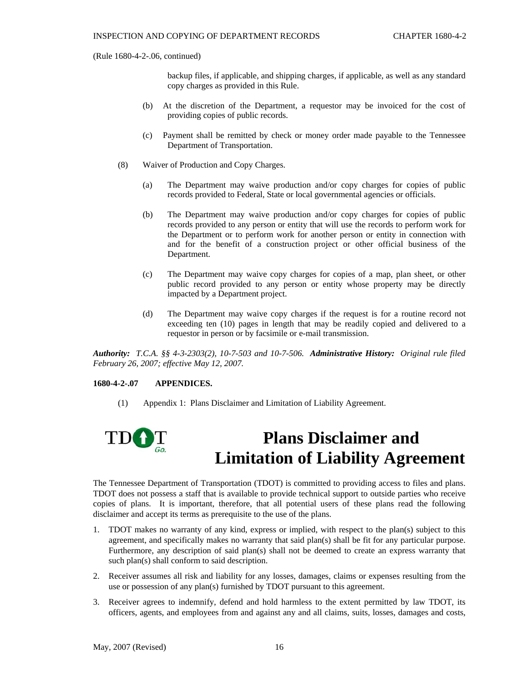backup files, if applicable, and shipping charges, if applicable, as well as any standard copy charges as provided in this Rule.

- (b) At the discretion of the Department, a requestor may be invoiced for the cost of providing copies of public records.
- (c) Payment shall be remitted by check or money order made payable to the Tennessee Department of Transportation.
- (8) Waiver of Production and Copy Charges.
	- (a) The Department may waive production and/or copy charges for copies of public records provided to Federal, State or local governmental agencies or officials.
	- (b) The Department may waive production and/or copy charges for copies of public records provided to any person or entity that will use the records to perform work for the Department or to perform work for another person or entity in connection with and for the benefit of a construction project or other official business of the Department.
	- (c) The Department may waive copy charges for copies of a map, plan sheet, or other public record provided to any person or entity whose property may be directly impacted by a Department project.
	- (d) The Department may waive copy charges if the request is for a routine record not exceeding ten (10) pages in length that may be readily copied and delivered to a requestor in person or by facsimile or e-mail transmission.

*Authority: T.C.A. §§ 4-3-2303(2), 10-7-503 and 10-7-506. Administrative History: Original rule filed February 26, 2007; effective May 12, 2007.* 

## **1680-4-2-.07 APPENDICES.**

(1) Appendix 1: Plans Disclaimer and Limitation of Liability Agreement.

# TD **Plans Disclaimer and Limitation of Liability Agreement**

The Tennessee Department of Transportation (TDOT) is committed to providing access to files and plans. TDOT does not possess a staff that is available to provide technical support to outside parties who receive copies of plans. It is important, therefore, that all potential users of these plans read the following disclaimer and accept its terms as prerequisite to the use of the plans.

- 1. TDOT makes no warranty of any kind, express or implied, with respect to the plan(s) subject to this agreement, and specifically makes no warranty that said plan(s) shall be fit for any particular purpose. Furthermore, any description of said plan(s) shall not be deemed to create an express warranty that such plan(s) shall conform to said description.
- 2. Receiver assumes all risk and liability for any losses, damages, claims or expenses resulting from the use or possession of any plan(s) furnished by TDOT pursuant to this agreement.
- 3. Receiver agrees to indemnify, defend and hold harmless to the extent permitted by law TDOT, its officers, agents, and employees from and against any and all claims, suits, losses, damages and costs,